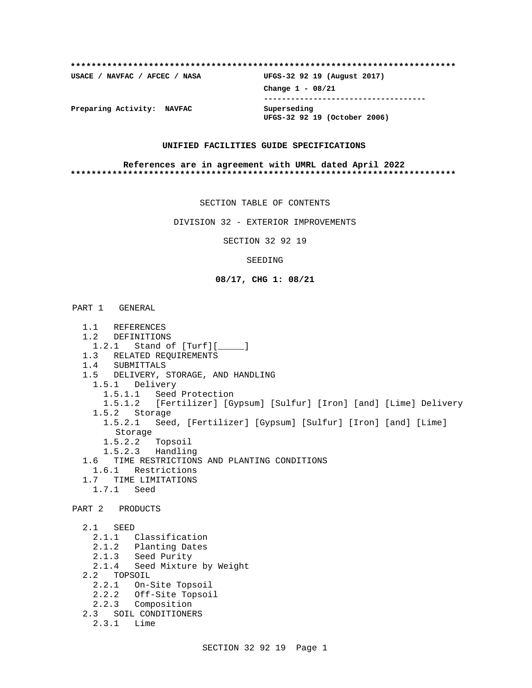| USACE / NAVFAC / AFCEC / NASA | UFGS-32 92 19 (August 2017)                 |
|-------------------------------|---------------------------------------------|
|                               | Change $1 - 08/21$                          |
| Preparing Activity: NAVFAC    | Superseding<br>UFGS-32 92 19 (October 2006) |

### **UNIFIED FACILITIES GUIDE SPECIFICATIONS**

#### **References are in agreement with UMRL dated April 2022 \*\*\*\*\*\*\*\*\*\*\*\*\*\*\*\*\*\*\*\*\*\*\*\*\*\*\*\*\*\*\*\*\*\*\*\*\*\*\*\*\*\*\*\*\*\*\*\*\*\*\*\*\*\*\*\*\*\*\*\*\*\*\*\*\*\*\*\*\*\*\*\*\*\***

SECTION TABLE OF CONTENTS

DIVISION 32 - EXTERIOR IMPROVEMENTS

SECTION 32 92 19

### SEEDING

### **08/17, CHG 1: 08/21**

# PART 1 GENERAL

- 1.1 REFERENCES
- 1.2 DEFINITIONS
- 1.2.1 Stand of [Turf][\_\_\_\_\_]
- 1.3 RELATED REQUIREMENTS
- 1.4 SUBMITTALS
- 1.5 DELIVERY, STORAGE, AND HANDLING
- 1.5.1 Delivery
	- 1.5.1.1 Seed Protection
- 1.5.1.2 [Fertilizer] [Gypsum] [Sulfur] [Iron] [and] [Lime] Delivery 1.5.2 Storage 1.5.2.1 Seed, [Fertilizer] [Gypsum] [Sulfur] [Iron] [and] [Lime]
	- Storage
	- 1.5.2.2 Topsoil
	- 1.5.2.3 Handling
- 1.6 TIME RESTRICTIONS AND PLANTING CONDITIONS
- 1.6.1 Restrictions
- 1.7 TIME LIMITATIONS
	- 1.7.1 Seed

PART 2 PRODUCTS

 2.1 SEED 2.1.1 Classification 2.1.2 Planting Dates 2.1.3 Seed Purity 2.1.4 Seed Mixture by Weight 2.2 TOPSOIL 2.2.1 On-Site Topsoil 2.2.2 Off-Site Topsoil 2.2.3 Composition 2.3 SOIL CONDITIONERS 2.3.1 Lime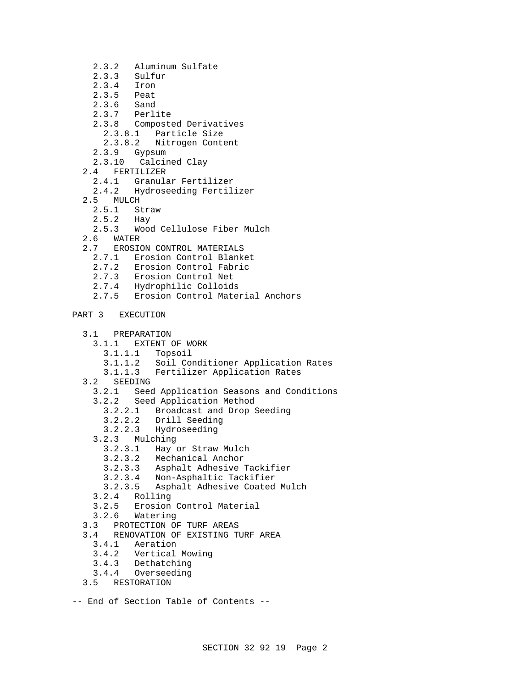- 2.3.2 Aluminum Sulfate
- 2.3.3 Sulfur
- 2.3.4 Iron<br>2.3.5 Peat
- Peat<br>Sand
- $2.3.6$
- 2.3.7 Perlite
- 2.3.8 Composted Derivatives
	- 2.3.8.1 Particle Size
- 2.3.8.2 Nitrogen Content
- 2.3.9 Gypsum
- 2.3.10 Calcined Clay
- 2.4 FERTILIZER
	- 2.4.1 Granular Fertilizer
	- 2.4.2 Hydroseeding Fertilizer
- 2.5 MULCH
	- 2.5.1 Straw<br>2.5.2 Hay
	- $2.5.2$
- 2.5.3 Wood Cellulose Fiber Mulch
- 2.6 WATER
- 2.7 EROSION CONTROL MATERIALS
	- 2.7.1 Erosion Control Blanket
	- 2.7.2 Erosion Control Fabric
	- 2.7.3 Erosion Control Net
	- 2.7.4 Hydrophilic Colloids
	- 2.7.5 Erosion Control Material Anchors
- PART 3 EXECUTION
	- 3.1 PREPARATION
		- 3.1.1 EXTENT OF WORK
			- 3.1.1.1 Topsoil
			- 3.1.1.2 Soil Conditioner Application Rates
		- 3.1.1.3 Fertilizer Application Rates
	- 3.2 SEEDING
		- 3.2.1 Seed Application Seasons and Conditions
		- 3.2.2 Seed Application Method
			- 3.2.2.1 Broadcast and Drop Seeding
			- 3.2.2.2 Drill Seeding
			- 3.2.2.3 Hydroseeding
		- 3.2.3 Mulching
			- 3.2.3.1 Hay or Straw Mulch
			- 3.2.3.2 Mechanical Anchor
			- 3.2.3.3 Asphalt Adhesive Tackifier
			- 3.2.3.4 Non-Asphaltic Tackifier
			- Asphalt Adhesive Coated Mulch
		- 3.2.4 Rolling
		- 3.2.5 Erosion Control Material
	- 3.2.6 Watering
	- 3.3 PROTECTION OF TURF AREAS
	- 3.4 RENOVATION OF EXISTING TURF AREA
		- 3.4.1 Aeration
		- 3.4.2 Vertical Mowing
		- 3.4.3 Dethatching
		- 3.4.4 Overseeding
	- 3.5 RESTORATION
- -- End of Section Table of Contents --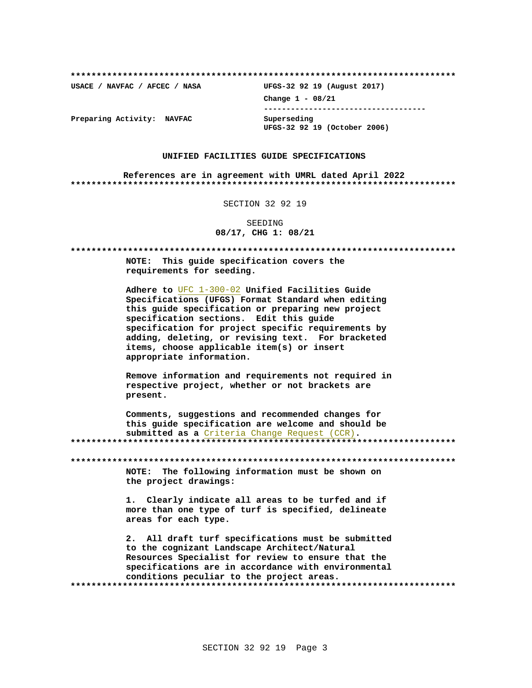USACE / NAVFAC / AFCEC / NASA

UFGS-32 92 19 (August 2017) Change  $1 - 08/21$ ------------------------------------Superseding UFGS-32 92 19 (October 2006)

Preparing Activity: NAVFAC

### UNIFIED FACILITIES GUIDE SPECIFICATIONS

References are in agreement with UMRL dated April 2022 

SECTION 32 92 19

SEEDING 08/17, CHG 1: 08/21

NOTE: This quide specification covers the requirements for seeding. Adhere to UFC 1-300-02 Unified Facilities Guide Specifications (UFGS) Format Standard when editing this guide specification or preparing new project specification sections. Edit this quide specification for project specific requirements by adding, deleting, or revising text. For bracketed items, choose applicable item(s) or insert appropriate information. Remove information and requirements not required in respective project, whether or not brackets are present. Comments, suggestions and recommended changes for this guide specification are welcome and should be submitted as a Criteria Change Request (CCR). NOTE: The following information must be shown on the project drawings: 1. Clearly indicate all areas to be turfed and if more than one type of turf is specified, delineate areas for each type. 2. All draft turf specifications must be submitted to the cognizant Landscape Architect/Natural Resources Specialist for review to ensure that the specifications are in accordance with environmental conditions peculiar to the project areas.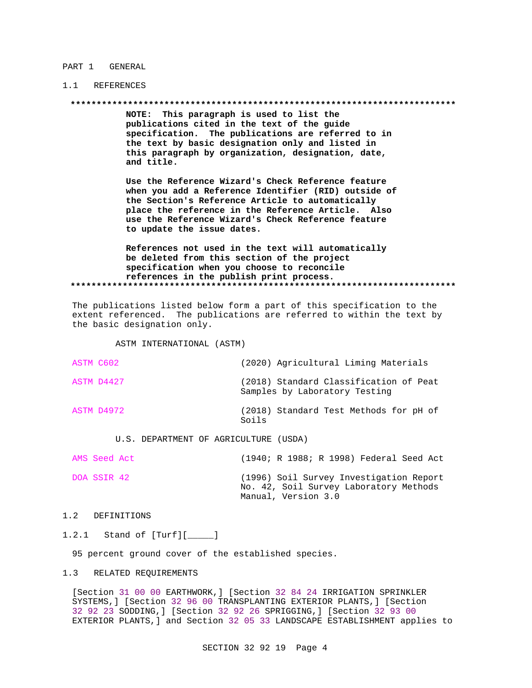#### PART 1 GENERAL

## 1.1 REFERENCES

NOTE: This paragraph is used to list the publications cited in the text of the guide specification. The publications are referred to in the text by basic designation only and listed in this paragraph by organization, designation, date, and title.

Use the Reference Wizard's Check Reference feature when you add a Reference Identifier (RID) outside of the Section's Reference Article to automatically place the reference in the Reference Article. Also use the Reference Wizard's Check Reference feature to update the issue dates.

References not used in the text will automatically be deleted from this section of the project specification when you choose to reconcile references in the publish print process. 

The publications listed below form a part of this specification to the extent referenced. The publications are referred to within the text by the basic designation only.

ASTM INTERNATIONAL (ASTM)

| ASTM C602 |            |                                                        |       | (2020) Agricultural Liming Materials                                    |  |  |
|-----------|------------|--------------------------------------------------------|-------|-------------------------------------------------------------------------|--|--|
|           | ASTM D4427 |                                                        |       | (2018) Standard Classification of Peat<br>Samples by Laboratory Testing |  |  |
|           | ASTM D4972 |                                                        | Soils | (2018) Standard Test Methods for pH of                                  |  |  |
|           | TT C       | $\sqrt{1700}$ התחזים דוזמת ממנה הם התוכנות התוכנות התח |       |                                                                         |  |  |

U.S. DEPARTMENT OF AGRICULTURE (USDA)

| AMS Seed Act | (1940; R 1988; R 1998) Federal Seed Act                                                                  |
|--------------|----------------------------------------------------------------------------------------------------------|
| DOA SSIR 42  | (1996) Soil Survey Investigation Report<br>No. 42, Soil Survey Laboratory Methods<br>Manual, Version 3.0 |

#### $1.2$ DEFINITIONS

 $1.2.1$ Stand of [Turf][\_\_\_\_\_]

95 percent ground cover of the established species.

#### $1.3$ RELATED REQUIREMENTS

[Section 31 00 00 EARTHWORK, ] [Section 32 84 24 IRRIGATION SPRINKLER SYSTEMS, ] [Section 32 96 00 TRANSPLANTING EXTERIOR PLANTS, ] [Section 32 92 23 SODDING, ] [Section 32 92 26 SPRIGGING, ] [Section 32 93 00 EXTERIOR PLANTS, ] and Section 32 05 33 LANDSCAPE ESTABLISHMENT applies to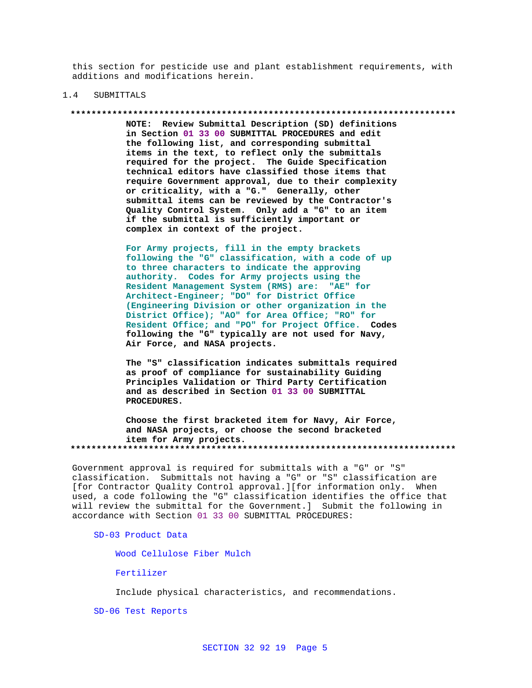this section for pesticide use and plant establishment requirements, with additions and modifications herein.

#### $1.4$ SUBMITTALS

#### 

NOTE: Review Submittal Description (SD) definitions in Section 01 33 00 SUBMITTAL PROCEDURES and edit the following list, and corresponding submittal items in the text, to reflect only the submittals required for the project. The Guide Specification technical editors have classified those items that require Government approval, due to their complexity or criticality, with a "G." Generally, other submittal items can be reviewed by the Contractor's Quality Control System. Only add a "G" to an item if the submittal is sufficiently important or complex in context of the project.

For Army projects, fill in the empty brackets following the "G" classification, with a code of up to three characters to indicate the approving authority. Codes for Army projects using the Resident Management System (RMS) are: "AE" for Architect-Engineer; "DO" for District Office (Engineering Division or other organization in the District Office); "AO" for Area Office; "RO" for Resident Office; and "PO" for Project Office. Codes following the "G" typically are not used for Navy, Air Force, and NASA projects.

The "S" classification indicates submittals required as proof of compliance for sustainability Guiding Principles Validation or Third Party Certification and as described in Section 01 33 00 SUBMITTAL PROCEDURES.

Choose the first bracketed item for Navy, Air Force, and NASA projects, or choose the second bracketed item for Army projects. 

Government approval is required for submittals with a "G" or "S" classification. Submittals not having a "G" or "S" classification are [for Contractor Quality Control approval.][for information only. When used, a code following the "G" classification identifies the office that will review the submittal for the Government.] Submit the following in accordance with Section 01 33 00 SUBMITTAL PROCEDURES:

SD-03 Product Data

Wood Cellulose Fiber Mulch

Fertilizer

Include physical characteristics, and recommendations.

SD-06 Test Reports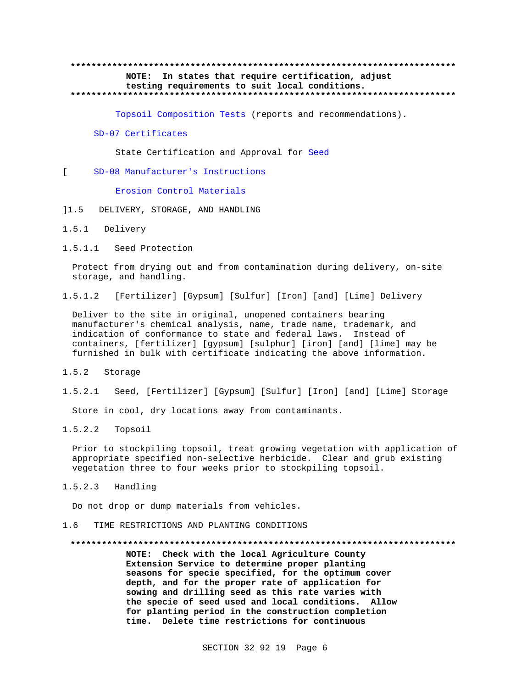## **\*\*\*\*\*\*\*\*\*\*\*\*\*\*\*\*\*\*\*\*\*\*\*\*\*\*\*\*\*\*\*\*\*\*\*\*\*\*\*\*\*\*\*\*\*\*\*\*\*\*\*\*\*\*\*\*\*\*\*\*\*\*\*\*\*\*\*\*\*\*\*\*\*\* NOTE: In states that require certification, adjust testing requirements to suit local conditions. \*\*\*\*\*\*\*\*\*\*\*\*\*\*\*\*\*\*\*\*\*\*\*\*\*\*\*\*\*\*\*\*\*\*\*\*\*\*\*\*\*\*\*\*\*\*\*\*\*\*\*\*\*\*\*\*\*\*\*\*\*\*\*\*\*\*\*\*\*\*\*\*\*\***

Topsoil Composition Tests (reports and recommendations).

#### SD-07 Certificates

State Certification and Approval for Seed

[ SD-08 Manufacturer's Instructions

Erosion Control Materials

- ]1.5 DELIVERY, STORAGE, AND HANDLING
- 1.5.1 Delivery
- 1.5.1.1 Seed Protection

Protect from drying out and from contamination during delivery, on-site storage, and handling.

1.5.1.2 [Fertilizer] [Gypsum] [Sulfur] [Iron] [and] [Lime] Delivery

Deliver to the site in original, unopened containers bearing manufacturer's chemical analysis, name, trade name, trademark, and indication of conformance to state and federal laws. Instead of containers, [fertilizer] [gypsum] [sulphur] [iron] [and] [lime] may be furnished in bulk with certificate indicating the above information.

- 1.5.2 Storage
- 1.5.2.1 Seed, [Fertilizer] [Gypsum] [Sulfur] [Iron] [and] [Lime] Storage

Store in cool, dry locations away from contaminants.

1.5.2.2 Topsoil

Prior to stockpiling topsoil, treat growing vegetation with application of appropriate specified non-selective herbicide. Clear and grub existing vegetation three to four weeks prior to stockpiling topsoil.

1.5.2.3 Handling

Do not drop or dump materials from vehicles.

1.6 TIME RESTRICTIONS AND PLANTING CONDITIONS

#### **\*\*\*\*\*\*\*\*\*\*\*\*\*\*\*\*\*\*\*\*\*\*\*\*\*\*\*\*\*\*\*\*\*\*\*\*\*\*\*\*\*\*\*\*\*\*\*\*\*\*\*\*\*\*\*\*\*\*\*\*\*\*\*\*\*\*\*\*\*\*\*\*\*\***

**NOTE: Check with the local Agriculture County Extension Service to determine proper planting seasons for specie specified, for the optimum cover depth, and for the proper rate of application for sowing and drilling seed as this rate varies with the specie of seed used and local conditions. Allow for planting period in the construction completion time. Delete time restrictions for continuous**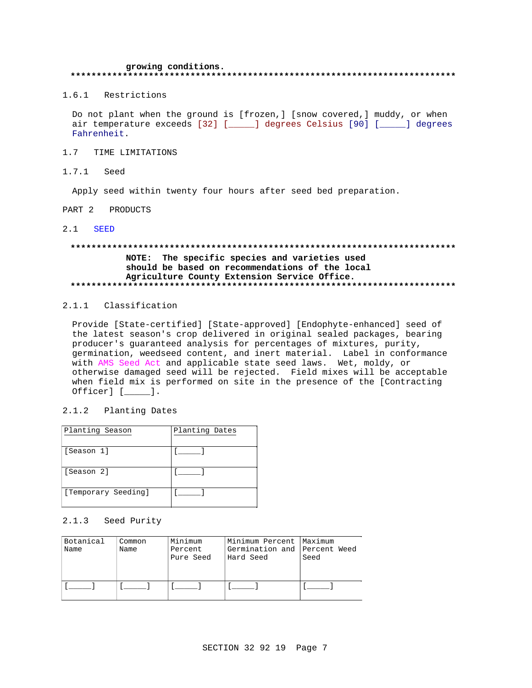#### growing conditions. \*\*\*\*\*\*\*\*\*\*\*

1.6.1 Restrictions

Do not plant when the ground is [frozen,] [snow covered,] muddy, or when air temperature exceeds [32] [\_\_\_\_\_] degrees Celsius [90] [\_\_\_\_\_] degrees Fahrenheit.

#### $1.7$ TIME LIMITATIONS

 $1.7.1$ Seed

Apply seed within twenty four hours after seed bed preparation.

PART 2 PRODUCTS

#### $2.1$ **SEED**

# NOTE: The specific species and varieties used should be based on recommendations of the local Agriculture County Extension Service Office.

## 2.1.1 Classification

Provide [State-certified] [State-approved] [Endophyte-enhanced] seed of the latest season's crop delivered in original sealed packages, bearing producer's guaranteed analysis for percentages of mixtures, purity, germination, weedseed content, and inert material. Label in conformance with AMS Seed Act and applicable state seed laws. Wet, moldy, or otherwise damaged seed will be rejected. Field mixes will be acceptable when field mix is performed on site in the presence of the [Contracting  $Officer]$  [ $\_\_\_\_\$ ].

## 2.1.2 Planting Dates

| Planting Season     | Planting Dates |
|---------------------|----------------|
| [Season 1]          |                |
| [Season 2]          |                |
| [Temporary Seeding] |                |

## 2.1.3 Seed Purity

| Botanical<br>Name | Common<br>Name | Minimum<br>Percent<br>Pure Seed | Minimum Percent  Maximum<br>Germination and Percent Weed<br> Hard Seed | Seed |
|-------------------|----------------|---------------------------------|------------------------------------------------------------------------|------|
|                   |                |                                 |                                                                        |      |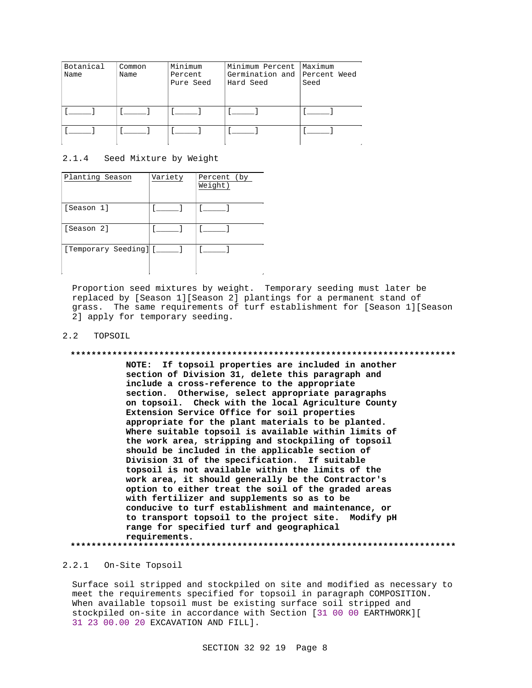| Botanical<br>Name | Common<br>Name | Minimum<br>Percent<br>Pure Seed | Minimum Percent   Maximum<br>Germination and Percent Weed<br>Hard Seed | Seed |
|-------------------|----------------|---------------------------------|------------------------------------------------------------------------|------|
|                   |                |                                 |                                                                        |      |
|                   |                |                                 |                                                                        |      |

## 2.1.4 Seed Mixture by Weight

| Planting Season       | Variety | Percent (by<br>$\overline{\text{Weight}}$ ) |
|-----------------------|---------|---------------------------------------------|
| [Season 1]            |         |                                             |
| [Season 2]            |         |                                             |
| [Temporary Seeding] [ |         |                                             |

Proportion seed mixtures by weight. Temporary seeding must later be replaced by [Season 1][Season 2] plantings for a permanent stand of grass. The same requirements of turf establishment for [Season 1][Season 2] apply for temporary seeding.

### 2.2 TOPSOIL

## **\*\*\*\*\*\*\*\*\*\*\*\*\*\*\*\*\*\*\*\*\*\*\*\*\*\*\*\*\*\*\*\*\*\*\*\*\*\*\*\*\*\*\*\*\*\*\*\*\*\*\*\*\*\*\*\*\*\*\*\*\*\*\*\*\*\*\*\*\*\*\*\*\*\* NOTE: If topsoil properties are included in another**

**section of Division 31, delete this paragraph and include a cross-reference to the appropriate section. Otherwise, select appropriate paragraphs on topsoil. Check with the local Agriculture County Extension Service Office for soil properties appropriate for the plant materials to be planted. Where suitable topsoil is available within limits of the work area, stripping and stockpiling of topsoil should be included in the applicable section of Division 31 of the specification. If suitable topsoil is not available within the limits of the work area, it should generally be the Contractor's option to either treat the soil of the graded areas with fertilizer and supplements so as to be conducive to turf establishment and maintenance, or to transport topsoil to the project site. Modify pH range for specified turf and geographical requirements. \*\*\*\*\*\*\*\*\*\*\*\*\*\*\*\*\*\*\*\*\*\*\*\*\*\*\*\*\*\*\*\*\*\*\*\*\*\*\*\*\*\*\*\*\*\*\*\*\*\*\*\*\*\*\*\*\*\*\*\*\*\*\*\*\*\*\*\*\*\*\*\*\*\***

### 2.2.1 On-Site Topsoil

Surface soil stripped and stockpiled on site and modified as necessary to meet the requirements specified for topsoil in paragraph COMPOSITION. When available topsoil must be existing surface soil stripped and stockpiled on-site in accordance with Section [31 00 00 EARTHWORK][ 31 23 00.00 20 EXCAVATION AND FILL].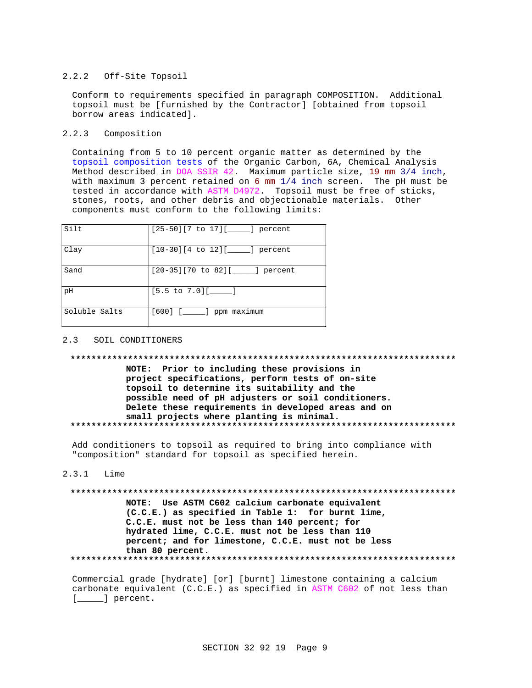#### $2.2.2$ Off-Site Topsoil

Conform to requirements specified in paragraph COMPOSITION. Additional topsoil must be [furnished by the Contractor] [obtained from topsoil borrow areas indicated].

## 2.2.3 Composition

Containing from 5 to 10 percent organic matter as determined by the topsoil composition tests of the Organic Carbon, 6A, Chemical Analysis Method described in DOA SSIR 42. Maximum particle size, 19 mm 3/4 inch, with maximum 3 percent retained on 6 mm  $1/4$  inch screen. The pH must be tested in accordance with ASTM D4972. Topsoil must be free of sticks, stones, roots, and other debris and objectionable materials. Other components must conform to the following limits:

| Silt          | $[25-50][7$ to $17][$ _____] percent |
|---------------|--------------------------------------|
| Clay          | $[10-30][4$ to $12][$ _____] percent |
| Sand          | [20-35][70 to 82][_____] percent     |
| pH            | $[5.5 \text{ to } 7.0]$ [ ]          |
| Soluble Salts | $[600]$ $[\_\_\_\_\]$ ppm maximum    |

#### SOIL CONDITIONERS  $2<sup>2</sup>$

### 

NOTE: Prior to including these provisions in project specifications, perform tests of on-site topsoil to determine its suitability and the possible need of pH adjusters or soil conditioners. Delete these requirements in developed areas and on small projects where planting is minimal. 

Add conditioners to topsoil as required to bring into compliance with "composition" standard for topsoil as specified herein.

### $2.3.1$  Lime

NOTE: Use ASTM C602 calcium carbonate equivalent (C.C.E.) as specified in Table 1: for burnt lime, C.C.E. must not be less than 140 percent; for hydrated lime, C.C.E. must not be less than 110 percent; and for limestone, C.C.E. must not be less than 80 percent. 

Commercial grade [hydrate] [or] [burnt] limestone containing a calcium carbonate equivalent  $(C.C.E.)$  as specified in ASTM  $C602$  of not less than  $[\underline{\hspace{1cm}}]$  percent.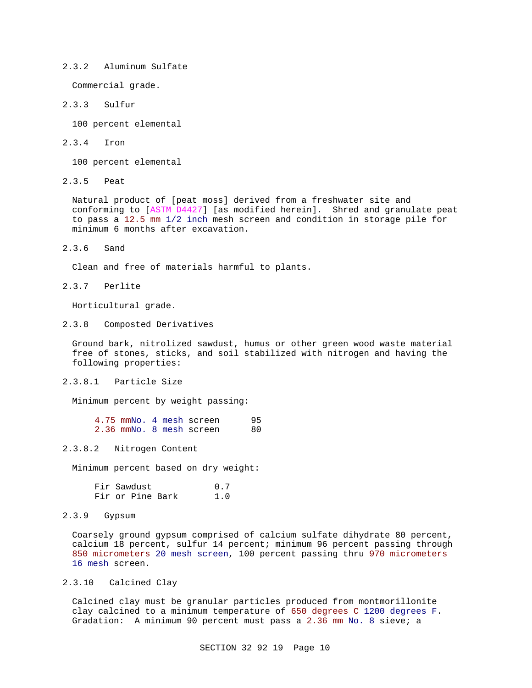## 2.3.2 Aluminum Sulfate

Commercial grade.

## 2.3.3 Sulfur

100 percent elemental

2.3.4 Iron

100 percent elemental

2.3.5 Peat

Natural product of [peat moss] derived from a freshwater site and conforming to [ASTM D4427] [as modified herein]. Shred and granulate peat to pass a 12.5 mm 1/2 inch mesh screen and condition in storage pile for minimum 6 months after excavation.

2.3.6 Sand

Clean and free of materials harmful to plants.

2.3.7 Perlite

Horticultural grade.

2.3.8 Composted Derivatives

Ground bark, nitrolized sawdust, humus or other green wood waste material free of stones, sticks, and soil stabilized with nitrogen and having the following properties:

2.3.8.1 Particle Size

Minimum percent by weight passing:

|  |  | 4.75 mmNo. 4 mesh screen | 95 |
|--|--|--------------------------|----|
|  |  | 2.36 mmNo. 8 mesh screen | 80 |

2.3.8.2 Nitrogen Content

Minimum percent based on dry weight:

|  | Fir Sawdust      |  | 0.7 |  |
|--|------------------|--|-----|--|
|  | Fir or Pine Bark |  | 1.0 |  |

2.3.9 Gypsum

Coarsely ground gypsum comprised of calcium sulfate dihydrate 80 percent, calcium 18 percent, sulfur 14 percent; minimum 96 percent passing through 850 micrometers 20 mesh screen, 100 percent passing thru 970 micrometers 16 mesh screen.

## 2.3.10 Calcined Clay

Calcined clay must be granular particles produced from montmorillonite clay calcined to a minimum temperature of 650 degrees C 1200 degrees F. Gradation: A minimum 90 percent must pass a 2.36 mm No. 8 sieve; a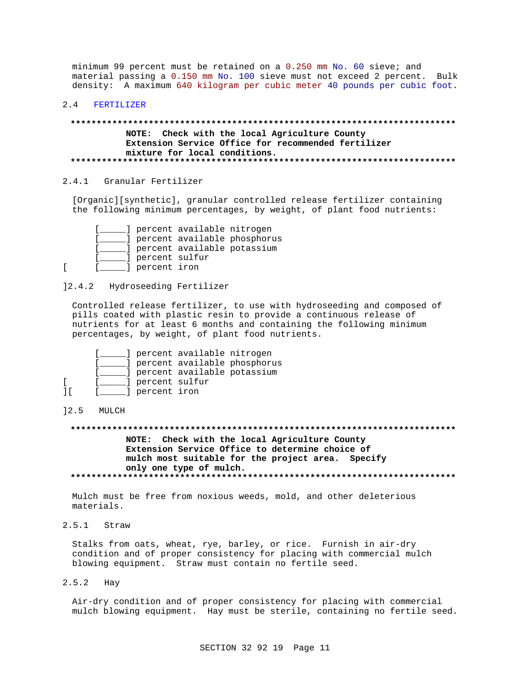minimum 99 percent must be retained on a 0.250 mm No. 60 sieve; and material passing a 0.150 mm No. 100 sieve must not exceed 2 percent. Bulk density: A maximum 640 kilogram per cubic meter 40 pounds per cubic foot.

#### FERTILIZER  $2.4$

## NOTE: Check with the local Agriculture County Extension Service Office for recommended fertilizer mixture for local conditions.

## 2.4.1 Granular Fertilizer

[Organic][synthetic], granular controlled release fertilizer containing the following minimum percentages, by weight, of plant food nutrients:

|  |                  | ] percent available nitrogen  |                             |
|--|------------------|-------------------------------|-----------------------------|
|  |                  |                               | depend available phosphorus |
|  |                  | ] percent available potassium |                             |
|  | ] percent sulfur |                               |                             |
|  | ] percent iron   |                               |                             |

 $] 2.4.2$ Hydroseeding Fertilizer

Controlled release fertilizer, to use with hydroseeding and composed of pills coated with plastic resin to provide a continuous release of nutrients for at least 6 months and containing the following minimum percentages, by weight, of plant food nutrients.

|  |                  | ] percent available nitrogen     |                              |
|--|------------------|----------------------------------|------------------------------|
|  |                  |                                  | percent available phosphorus |
|  |                  | ___] percent available potassium |                              |
|  | ] percent sulfur |                                  |                              |
|  | d percent iron   |                                  |                              |

#### 12.5 MULCH

 $\mathsf{L}$ 

# NOTE: Check with the local Agriculture County Extension Service Office to determine choice of mulch most suitable for the project area. Specify only one type of mulch.

Mulch must be free from noxious weeds, mold, and other deleterious materials.

 $2.5.1$ Straw

> Stalks from oats, wheat, rye, barley, or rice. Furnish in air-dry condition and of proper consistency for placing with commercial mulch blowing equipment. Straw must contain no fertile seed.

 $2.5.2$ Hay

> Air-dry condition and of proper consistency for placing with commercial mulch blowing equipment. Hay must be sterile, containing no fertile seed.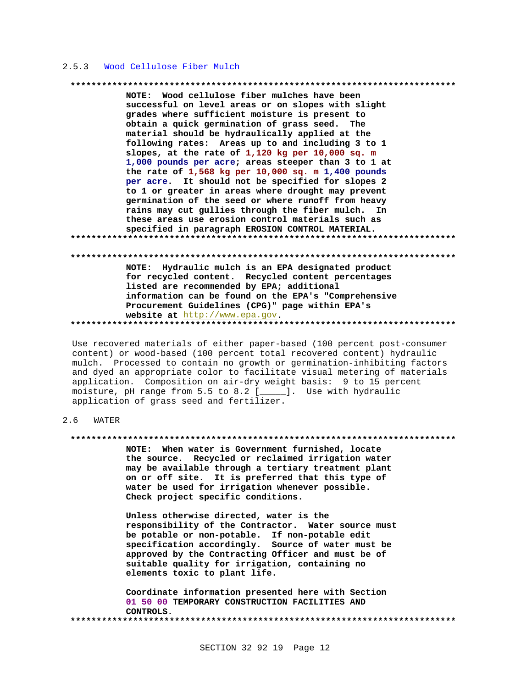#### $2.5.3$ Wood Cellulose Fiber Mulch

#### 

NOTE: Wood cellulose fiber mulches have been successful on level areas or on slopes with slight grades where sufficient moisture is present to obtain a quick germination of grass seed. The material should be hydraulically applied at the following rates: Areas up to and including 3 to 1 slopes, at the rate of 1,120 kg per 10,000 sq. m 1,000 pounds per acre; areas steeper than 3 to 1 at the rate of  $1,568$  kg per  $10,000$  sq. m  $1,400$  pounds per acre. It should not be specified for slopes 2 to 1 or greater in areas where drought may prevent germination of the seed or where runoff from heavy rains may cut gullies through the fiber mulch. In these areas use erosion control materials such as specified in paragraph EROSION CONTROL MATERIAL. 

#### 

NOTE: Hydraulic mulch is an EPA designated product for recycled content. Recycled content percentages listed are recommended by EPA; additional information can be found on the EPA's "Comprehensive Procurement Guidelines (CPG)" page within EPA's website at http://www.epa.gov. 

Use recovered materials of either paper-based (100 percent post-consumer content) or wood-based (100 percent total recovered content) hydraulic mulch. Processed to contain no growth or germination-inhibiting factors and dyed an appropriate color to facilitate visual metering of materials application. Composition on air-dry weight basis: 9 to 15 percent moisture, pH range from 5.5 to 8.2 [\_\_\_\_\_]. Use with hydraulic application of grass seed and fertilizer.

#### $2.6$ WATER

### 

NOTE: When water is Government furnished, locate the source. Recycled or reclaimed irrigation water may be available through a tertiary treatment plant on or off site. It is preferred that this type of water be used for irrigation whenever possible. Check project specific conditions.

Unless otherwise directed, water is the responsibility of the Contractor. Water source must be potable or non-potable. If non-potable edit specification accordingly. Source of water must be approved by the Contracting Officer and must be of suitable quality for irrigation, containing no elements toxic to plant life.

Coordinate information presented here with Section 01 50 00 TEMPORARY CONSTRUCTION FACILITIES AND CONTROLS.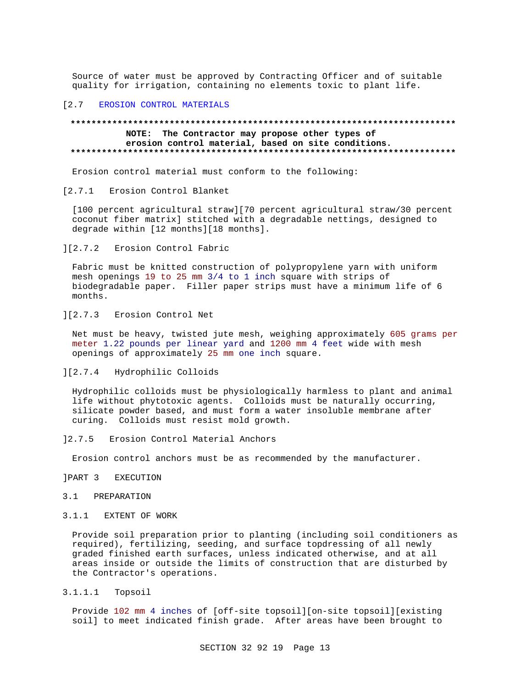Source of water must be approved by Contracting Officer and of suitable quality for irrigation, containing no elements toxic to plant life.

### [2.7 EROSION CONTROL MATERIALS

## **\*\*\*\*\*\*\*\*\*\*\*\*\*\*\*\*\*\*\*\*\*\*\*\*\*\*\*\*\*\*\*\*\*\*\*\*\*\*\*\*\*\*\*\*\*\*\*\*\*\*\*\*\*\*\*\*\*\*\*\*\*\*\*\*\*\*\*\*\*\*\*\*\*\* NOTE: The Contractor may propose other types of erosion control material, based on site conditions. \*\*\*\*\*\*\*\*\*\*\*\*\*\*\*\*\*\*\*\*\*\*\*\*\*\*\*\*\*\*\*\*\*\*\*\*\*\*\*\*\*\*\*\*\*\*\*\*\*\*\*\*\*\*\*\*\*\*\*\*\*\*\*\*\*\*\*\*\*\*\*\*\*\***

Erosion control material must conform to the following:

### [2.7.1 Erosion Control Blanket

[100 percent agricultural straw][70 percent agricultural straw/30 percent coconut fiber matrix] stitched with a degradable nettings, designed to degrade within [12 months][18 months].

## ][2.7.2 Erosion Control Fabric

Fabric must be knitted construction of polypropylene yarn with uniform mesh openings 19 to 25 mm 3/4 to 1 inch square with strips of biodegradable paper. Filler paper strips must have a minimum life of 6 months.

# ][2.7.3 Erosion Control Net

Net must be heavy, twisted jute mesh, weighing approximately 605 grams per meter 1.22 pounds per linear yard and 1200 mm 4 feet wide with mesh openings of approximately 25 mm one inch square.

## ][2.7.4 Hydrophilic Colloids

Hydrophilic colloids must be physiologically harmless to plant and animal life without phytotoxic agents. Colloids must be naturally occurring, silicate powder based, and must form a water insoluble membrane after curing. Colloids must resist mold growth.

]2.7.5 Erosion Control Material Anchors

Erosion control anchors must be as recommended by the manufacturer.

]PART 3 EXECUTION

## 3.1 PREPARATION

## 3.1.1 EXTENT OF WORK

Provide soil preparation prior to planting (including soil conditioners as required), fertilizing, seeding, and surface topdressing of all newly graded finished earth surfaces, unless indicated otherwise, and at all areas inside or outside the limits of construction that are disturbed by the Contractor's operations.

3.1.1.1 Topsoil

Provide 102 mm 4 inches of [off-site topsoil][on-site topsoil][existing soil] to meet indicated finish grade. After areas have been brought to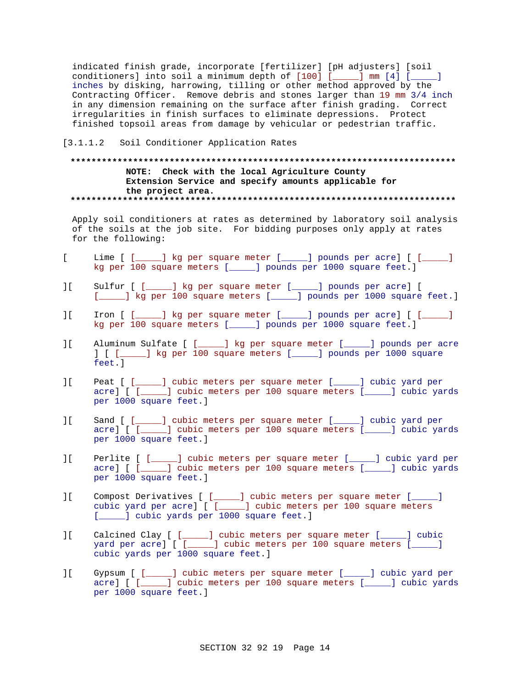indicated finish grade, incorporate [fertilizer] [pH adjusters] [soil conditioners] into soil a minimum depth of [100] [\_\_\_\_\_] mm [4] [\_\_\_\_\_] inches by disking, harrowing, tilling or other method approved by the Contracting Officer. Remove debris and stones larger than 19 mm 3/4 inch in any dimension remaining on the surface after finish grading. Correct irregularities in finish surfaces to eliminate depressions. Protect finished topsoil areas from damage by vehicular or pedestrian traffic.

### [3.1.1.2 Soil Conditioner Application Rates

## **\*\*\*\*\*\*\*\*\*\*\*\*\*\*\*\*\*\*\*\*\*\*\*\*\*\*\*\*\*\*\*\*\*\*\*\*\*\*\*\*\*\*\*\*\*\*\*\*\*\*\*\*\*\*\*\*\*\*\*\*\*\*\*\*\*\*\*\*\*\*\*\*\*\* NOTE: Check with the local Agriculture County Extension Service and specify amounts applicable for the project area. \*\*\*\*\*\*\*\*\*\*\*\*\*\*\*\*\*\*\*\*\*\*\*\*\*\*\*\*\*\*\*\*\*\*\*\*\*\*\*\*\*\*\*\*\*\*\*\*\*\*\*\*\*\*\*\*\*\*\*\*\*\*\*\*\*\*\*\*\*\*\*\*\*\***

Apply soil conditioners at rates as determined by laboratory soil analysis of the soils at the job site. For bidding purposes only apply at rates for the following:

- [ Lime [ [\_\_\_\_\_] kg per square meter [\_\_\_\_\_] pounds per acre] [ [\_\_\_\_\_] kg per 100 square meters [\_\_\_\_\_] pounds per 1000 square feet.]
- ][ Sulfur [ [\_\_\_\_\_] kg per square meter [\_\_\_\_\_] pounds per acre] [ [*\_\_\_\_*] kg per 100 square meters [*\_\_\_\_*] pounds per 1000 square feet.]
- ][ Iron [ [\_\_\_\_\_] kg per square meter [\_\_\_\_\_] pounds per acre] [ [\_\_\_\_\_] kg per 100 square meters [\_\_\_\_\_] pounds per 1000 square feet.]
- ][ Aluminum Sulfate [ [\_\_\_\_\_] kg per square meter [\_\_\_\_\_] pounds per acre ] [ [\_\_\_\_\_] kg per 100 square meters [\_\_\_\_\_] pounds per 1000 square feet.]
- ][ Peat [ [\_\_\_\_\_] cubic meters per square meter [\_\_\_\_\_] cubic yard per acre] [ [\_\_\_\_\_] cubic meters per 100 square meters [\_\_\_\_\_] cubic yards per 1000 square feet.]
- ][ Sand [ [\_\_\_\_\_] cubic meters per square meter [\_\_\_\_\_] cubic yard per acre] [ [\_\_\_\_\_] cubic meters per 100 square meters [\_\_\_\_\_] cubic yards per 1000 square feet.]
- ][ Perlite [ [\_\_\_\_\_] cubic meters per square meter [\_\_\_\_\_] cubic yard per acre] [ [\_\_\_\_\_] cubic meters per 100 square meters [\_\_\_\_\_] cubic yards per 1000 square feet.]
- ][ Compost Derivatives [ [\_\_\_\_\_] cubic meters per square meter [\_\_\_\_\_] cubic yard per acre] [ [\_\_\_\_\_] cubic meters per 100 square meters [*\_\_\_\_*] cubic yards per 1000 square feet.]
- ][ Calcined Clay [ [\_\_\_\_\_] cubic meters per square meter [\_\_\_\_\_] cubic yard per acre] [ [\_\_\_\_\_] cubic meters per 100 square meters [\_\_\_\_\_] cubic yards per 1000 square feet.]
- ][ Gypsum [ [\_\_\_\_\_] cubic meters per square meter [\_\_\_\_\_] cubic yard per acre] [ [\_\_\_\_\_] cubic meters per 100 square meters [\_\_\_\_\_] cubic yards per 1000 square feet.]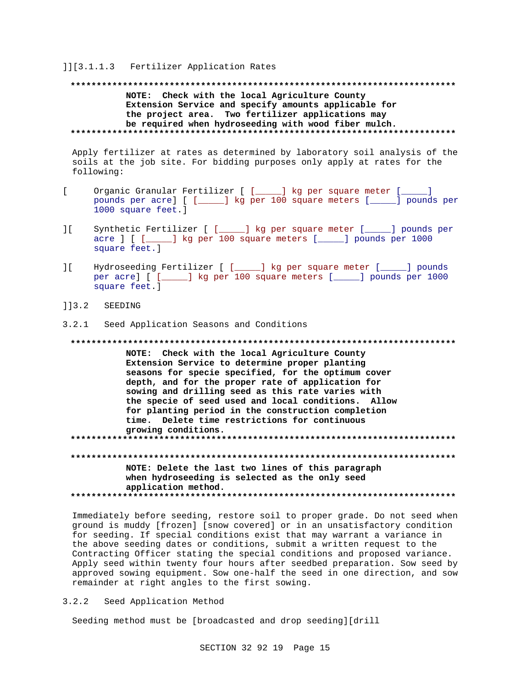### ]][3.1.1.3 Fertilizer Application Rates

## **\*\*\*\*\*\*\*\*\*\*\*\*\*\*\*\*\*\*\*\*\*\*\*\*\*\*\*\*\*\*\*\*\*\*\*\*\*\*\*\*\*\*\*\*\*\*\*\*\*\*\*\*\*\*\*\*\*\*\*\*\*\*\*\*\*\*\*\*\*\*\*\*\*\* NOTE: Check with the local Agriculture County Extension Service and specify amounts applicable for the project area. Two fertilizer applications may be required when hydroseeding with wood fiber mulch. \*\*\*\*\*\*\*\*\*\*\*\*\*\*\*\*\*\*\*\*\*\*\*\*\*\*\*\*\*\*\*\*\*\*\*\*\*\*\*\*\*\*\*\*\*\*\*\*\*\*\*\*\*\*\*\*\*\*\*\*\*\*\*\*\*\*\*\*\*\*\*\*\*\***

Apply fertilizer at rates as determined by laboratory soil analysis of the soils at the job site. For bidding purposes only apply at rates for the following:

- [ Organic Granular Fertilizer [ [\_\_\_\_\_] kg per square meter [\_\_\_\_\_] pounds per acre] [ [\_\_\_\_\_] kg per 100 square meters [\_\_\_\_\_] pounds per 1000 square feet.]
- ][ Synthetic Fertilizer [ [\_\_\_\_\_] kg per square meter [\_\_\_\_\_] pounds per acre ] [ [\_\_\_\_\_] kg per 100 square meters [\_\_\_\_\_] pounds per 1000 square feet.]
- ][ Hydroseeding Fertilizer [ [\_\_\_\_\_] kg per square meter [\_\_\_\_\_] pounds per acre] [ [\_\_\_\_\_] kg per 100 square meters [\_\_\_\_\_] pounds per 1000 square feet.]
- ]]3.2 SEEDING
- 3.2.1 Seed Application Seasons and Conditions

**\*\*\*\*\*\*\*\*\*\*\*\*\*\*\*\*\*\*\*\*\*\*\*\*\*\*\*\*\*\*\*\*\*\*\*\*\*\*\*\*\*\*\*\*\*\*\*\*\*\*\*\*\*\*\*\*\*\*\*\*\*\*\*\*\*\*\*\*\*\*\*\*\*\* NOTE: Check with the local Agriculture County Extension Service to determine proper planting seasons for specie specified, for the optimum cover depth, and for the proper rate of application for sowing and drilling seed as this rate varies with the specie of seed used and local conditions. Allow for planting period in the construction completion time. Delete time restrictions for continuous growing conditions. \*\*\*\*\*\*\*\*\*\*\*\*\*\*\*\*\*\*\*\*\*\*\*\*\*\*\*\*\*\*\*\*\*\*\*\*\*\*\*\*\*\*\*\*\*\*\*\*\*\*\*\*\*\*\*\*\*\*\*\*\*\*\*\*\*\*\*\*\*\*\*\*\*\* \*\*\*\*\*\*\*\*\*\*\*\*\*\*\*\*\*\*\*\*\*\*\*\*\*\*\*\*\*\*\*\*\*\*\*\*\*\*\*\*\*\*\*\*\*\*\*\*\*\*\*\*\*\*\*\*\*\*\*\*\*\*\*\*\*\*\*\*\*\*\*\*\*\* NOTE: Delete the last two lines of this paragraph**

**when hydroseeding is selected as the only seed application method. \*\*\*\*\*\*\*\*\*\*\*\*\*\*\*\*\*\*\*\*\*\*\*\*\*\*\*\*\*\*\*\*\*\*\*\*\*\*\*\*\*\*\*\*\*\*\*\*\*\*\*\*\*\*\*\*\*\*\*\*\*\*\*\*\*\*\*\*\*\*\*\*\*\***

Immediately before seeding, restore soil to proper grade. Do not seed when ground is muddy [frozen] [snow covered] or in an unsatisfactory condition for seeding. If special conditions exist that may warrant a variance in the above seeding dates or conditions, submit a written request to the Contracting Officer stating the special conditions and proposed variance. Apply seed within twenty four hours after seedbed preparation. Sow seed by approved sowing equipment. Sow one-half the seed in one direction, and sow remainder at right angles to the first sowing.

3.2.2 Seed Application Method

Seeding method must be [broadcasted and drop seeding][drill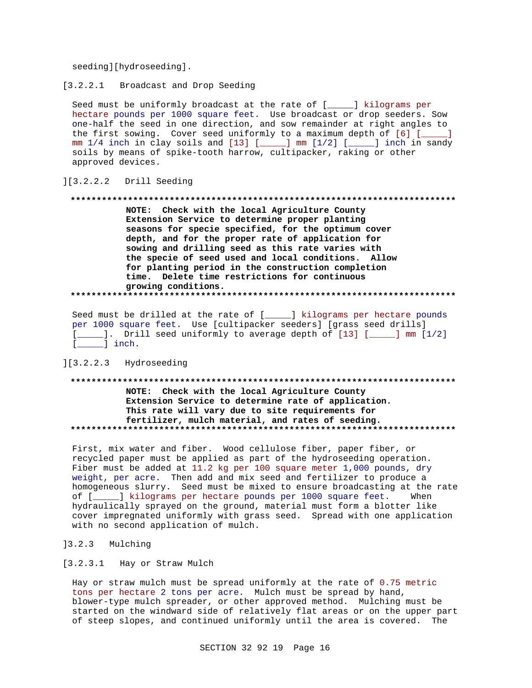seeding][hydroseeding].

 $[3.2.2.1]$ Broadcast and Drop Seeding

Seed must be uniformly broadcast at the rate of [\_\_\_\_] kilograms per hectare pounds per 1000 square feet. Use broadcast or drop seeders. Sow one-half the seed in one direction, and sow remainder at right angles to the first sowing. Cover seed uniformly to a maximum depth of [6] [\_\_\_\_] mm 1/4 inch in clay soils and [13] [\_\_\_\_] mm [1/2] [\_\_\_\_] inch in sandy soils by means of spike-tooth harrow, cultipacker, raking or other approved devices.

#### $] [3.2.2.2]$ Drill Seeding

#### 

NOTE: Check with the local Agriculture County Extension Service to determine proper planting seasons for specie specified, for the optimum cover depth, and for the proper rate of application for sowing and drilling seed as this rate varies with the specie of seed used and local conditions. Allow for planting period in the construction completion time. Delete time restrictions for continuous growing conditions. 

Seed must be drilled at the rate of [\_\_\_\_\_] kilograms per hectare pounds per 1000 square feet. Use [cultipacker seeders] [grass seed drills] [\_\_\_\_\_]. Drill seed uniformly to average depth of [13] [\_\_\_\_\_] mm [1/2]  $[\underline{\hspace{1cm}}]$  inch.

][3.2.2.3 Hydroseeding

# NOTE: Check with the local Agriculture County Extension Service to determine rate of application. This rate will vary due to site requirements for fertilizer, mulch material, and rates of seeding.

First, mix water and fiber. Wood cellulose fiber, paper fiber, or recycled paper must be applied as part of the hydroseeding operation. Fiber must be added at 11.2 kg per 100 square meter 1,000 pounds, dry weight, per acre. Then add and mix seed and fertilizer to produce a homogeneous slurry. Seed must be mixed to ensure broadcasting at the rate of [\_\_\_\_\_] kilograms per hectare pounds per 1000 square feet. When hydraulically sprayed on the ground, material must form a blotter like cover impregnated uniformly with grass seed. Spread with one application with no second application of mulch.

]3.2.3 Mulching

[3.2.3.1 Hay or Straw Mulch

Hay or straw mulch must be spread uniformly at the rate of 0.75 metric tons per hectare 2 tons per acre. Mulch must be spread by hand, blower-type mulch spreader, or other approved method. Mulching must be started on the windward side of relatively flat areas or on the upper part of steep slopes, and continued uniformly until the area is covered. The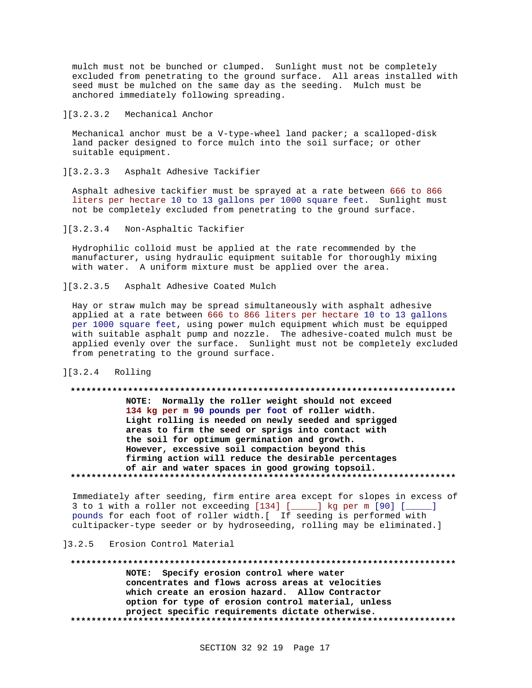mulch must not be bunched or clumped. Sunlight must not be completely excluded from penetrating to the ground surface. All areas installed with seed must be mulched on the same day as the seeding. Mulch must be anchored immediately following spreading.

## ][3.2.3.2 Mechanical Anchor

Mechanical anchor must be a V-type-wheel land packer; a scalloped-disk land packer designed to force mulch into the soil surface; or other suitable equipment.

][3.2.3.3 Asphalt Adhesive Tackifier

Asphalt adhesive tackifier must be sprayed at a rate between 666 to 866 liters per hectare 10 to 13 gallons per 1000 square feet. Sunlight must not be completely excluded from penetrating to the ground surface.

][3.2.3.4 Non-Asphaltic Tackifier

Hydrophilic colloid must be applied at the rate recommended by the manufacturer, using hydraulic equipment suitable for thoroughly mixing with water. A uniform mixture must be applied over the area.

][3.2.3.5 Asphalt Adhesive Coated Mulch

Hay or straw mulch may be spread simultaneously with asphalt adhesive applied at a rate between 666 to 866 liters per hectare 10 to 13 gallons per 1000 square feet, using power mulch equipment which must be equipped with suitable asphalt pump and nozzle. The adhesive-coated mulch must be applied evenly over the surface. Sunlight must not be completely excluded from penetrating to the ground surface.

### ][3.2.4 Rolling

# **\*\*\*\*\*\*\*\*\*\*\*\*\*\*\*\*\*\*\*\*\*\*\*\*\*\*\*\*\*\*\*\*\*\*\*\*\*\*\*\*\*\*\*\*\*\*\*\*\*\*\*\*\*\*\*\*\*\*\*\*\*\*\*\*\*\*\*\*\*\*\*\*\*\* NOTE: Normally the roller weight should not exceed 134 kg per m 90 pounds per foot of roller width.**

**Light rolling is needed on newly seeded and sprigged areas to firm the seed or sprigs into contact with the soil for optimum germination and growth. However, excessive soil compaction beyond this firming action will reduce the desirable percentages of air and water spaces in good growing topsoil. \*\*\*\*\*\*\*\*\*\*\*\*\*\*\*\*\*\*\*\*\*\*\*\*\*\*\*\*\*\*\*\*\*\*\*\*\*\*\*\*\*\*\*\*\*\*\*\*\*\*\*\*\*\*\*\*\*\*\*\*\*\*\*\*\*\*\*\*\*\*\*\*\*\***

Immediately after seeding, firm entire area except for slopes in excess of 3 to 1 with a roller not exceeding [134] [\_\_\_\_\_] kg per m [90] [\_\_\_\_\_] pounds for each foot of roller width.[ If seeding is performed with cultipacker-type seeder or by hydroseeding, rolling may be eliminated.]

### ]3.2.5 Erosion Control Material

**\*\*\*\*\*\*\*\*\*\*\*\*\*\*\*\*\*\*\*\*\*\*\*\*\*\*\*\*\*\*\*\*\*\*\*\*\*\*\*\*\*\*\*\*\*\*\*\*\*\*\*\*\*\*\*\*\*\*\*\*\*\*\*\*\*\*\*\*\*\*\*\*\*\* NOTE: Specify erosion control where water concentrates and flows across areas at velocities which create an erosion hazard. Allow Contractor option for type of erosion control material, unless project specific requirements dictate otherwise. \*\*\*\*\*\*\*\*\*\*\*\*\*\*\*\*\*\*\*\*\*\*\*\*\*\*\*\*\*\*\*\*\*\*\*\*\*\*\*\*\*\*\*\*\*\*\*\*\*\*\*\*\*\*\*\*\*\*\*\*\*\*\*\*\*\*\*\*\*\*\*\*\*\***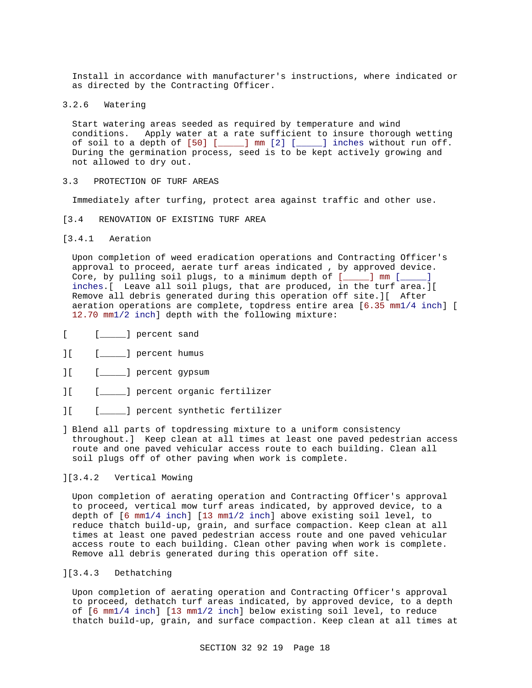Install in accordance with manufacturer's instructions, where indicated or as directed by the Contracting Officer.

3.2.6 Watering

Start watering areas seeded as required by temperature and wind conditions. Apply water at a rate sufficient to insure thorough wetting of soil to a depth of  $[50]$  [ $\_\_\_\_$ ] mm  $[2]$  [ $\_\_\_\_$ ] inches without run off. During the germination process, seed is to be kept actively growing and not allowed to dry out.

3.3 PROTECTION OF TURF AREAS

Immediately after turfing, protect area against traffic and other use.

- [3.4 RENOVATION OF EXISTING TURF AREA
- [3.4.1 Aeration

Upon completion of weed eradication operations and Contracting Officer's approval to proceed, aerate turf areas indicated , by approved device. Core, by pulling soil plugs, to a minimum depth of [\_\_\_\_] mm [\_\_\_\_] inches.[ Leave all soil plugs, that are produced, in the turf area.][ Remove all debris generated during this operation off site.][ After aeration operations are complete, topdress entire area [6.35 mm1/4 inch] [ 12.70 mm1/2 inch] depth with the following mixture:

- [ [ \_\_\_\_\_ ] percent sand
- ][ [\_\_\_\_\_] percent humus
- ][ [\_\_\_\_\_] percent gypsum
- ][ [\_\_\_\_\_] percent organic fertilizer
- ][ [\_\_\_\_\_] percent synthetic fertilizer
- ] Blend all parts of topdressing mixture to a uniform consistency throughout.] Keep clean at all times at least one paved pedestrian access route and one paved vehicular access route to each building. Clean all soil plugs off of other paving when work is complete.

## ][3.4.2 Vertical Mowing

Upon completion of aerating operation and Contracting Officer's approval to proceed, vertical mow turf areas indicated, by approved device, to a depth of [6 mm1/4 inch] [13 mm1/2 inch] above existing soil level, to reduce thatch build-up, grain, and surface compaction. Keep clean at all times at least one paved pedestrian access route and one paved vehicular access route to each building. Clean other paving when work is complete. Remove all debris generated during this operation off site.

## ][3.4.3 Dethatching

Upon completion of aerating operation and Contracting Officer's approval to proceed, dethatch turf areas indicated, by approved device, to a depth of [6 mm1/4 inch] [13 mm1/2 inch] below existing soil level, to reduce thatch build-up, grain, and surface compaction. Keep clean at all times at